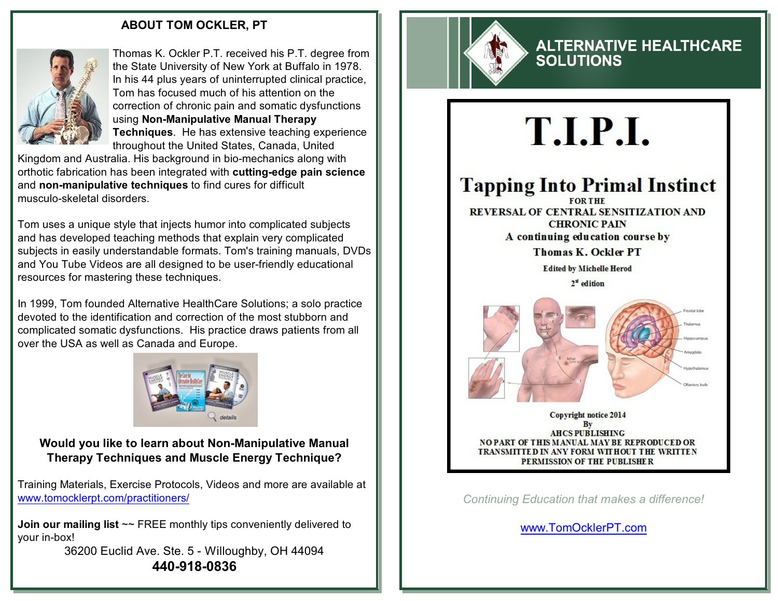#### **ABOUT TOM OCKLER, PT**



Thomas K. Ockler P.T. received his P.T. degree from the State University of New York at Buffalo in 1978. In his 44 plus years of uninterrupted clinical practice, Tom has focused much of his attention on the correction of chronic pain and somatic dysfunctions using **Non-Manipulative Manual Therapy Techniques**. He has extensive teaching experience throughout the United States, Canada, United

Kingdom and Australia. His background in bio-mechanics along with orthotic fabrication has been integrated with **cutting-edge pain science** and **non-manipulative techniques** to find cures for difficult musculo-skeletal disorders.

Tom uses a unique style that injects humor into complicated subjects and has developed teaching methods that explain very complicated subjects in easily understandable formats. Tom's training manuals, DVDs and You Tube Videos are all designed to be user-friendly educational resources for mastering these techniques.

In 1999, Tom founded Alternative HealthCare Solutions; a solo practice devoted to the identification and correction of the most stubborn and complicated somatic dysfunctions. His practice draws patients from all over the USA as well as Canada and Europe.



**Would you like to learn about Non-Manipulative Manual Therapy Techniques and Muscle Energy Technique?**

Training Materials, Exercise Protocols, Videos and more are available at [www.tomocklerpt.com/practitioners/](https://www.tomocklerpt.com/practitioners/)

**Join our mailing list**  $\sim$  FREE monthly tips conveniently delivered to your in-box!

> 36200 Euclid Ave. Ste. 5 - Willoughby, OH 44094 **440-918-0836**



### **ALTERNATIVE HEALTHCARE SOLUTIONS**

# T.I.P.I.

# **Tapping Into Primal Instinct**

REVERSAL OF CENTRAL SENSITIZATION AND **CHRONIC PAIN** A continuing education course by

**Thomas K. Ockler PT** 

**Edited by Michelle Herod**  $2^{\text{st}}$  edition



Copyright notice 2014 By **AHCS PUBLISHING NO PART OF THIS MANUAL MAY BE REPRODUCED OR** TRANSMITTED IN ANY FORM WITHOUT THE WRITTEN PERMISSION OF THE PUBLISHER

*Continuing Education that makes a difference!*

[www.TomOcklerPT.com](http://www.TomOcklerPT.com)